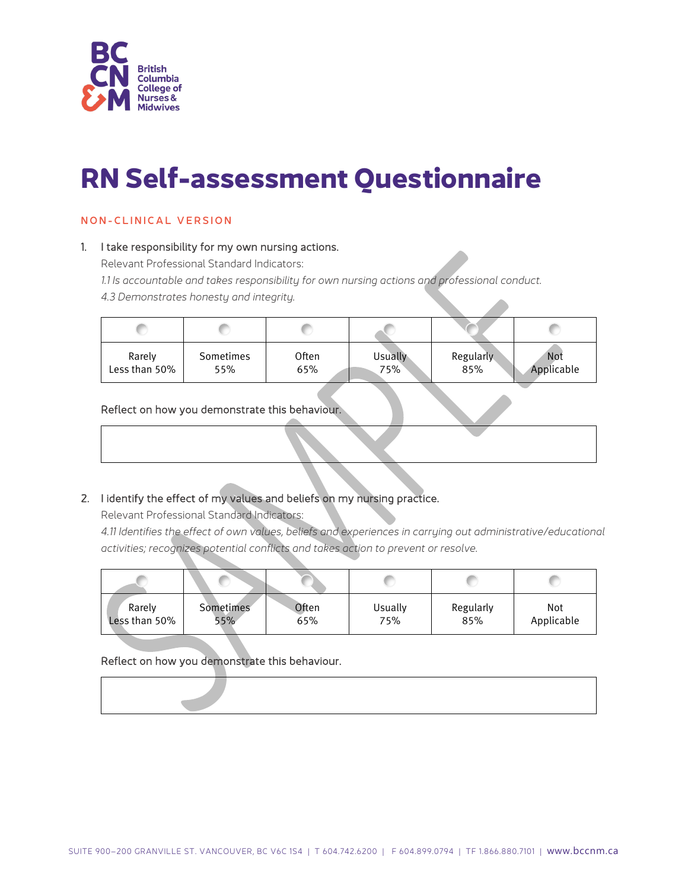

# **RN Self-assessment Questionnaire**

# NON - C LINICAL VERSION

#### 1. I take responsibility for my own nursing actions.

Relevant Professional Standard Indicators:

*1.1 Is accountable and takes responsibility for own nursing actions and professional conduct.*

*4.3 Demonstrates honesty and integrity.*

| Rarely        | Sometimes | Often | Usually | Regularly | <b>Not</b> |
|---------------|-----------|-------|---------|-----------|------------|
| Less than 50% | 55%       | 65%   | 75%     | 85%       | Applicable |

#### Reflect on how you demonstrate this behaviour.

# 2. I identify the effect of my values and beliefs on my nursing practice.

Relevant Professional Standard Indicators:

*4.11 Identifies the effect of own values, beliefs and experiences in carrying out administrative/educational activities; recognizes potential conflicts and takes action to prevent or resolve.*

| Rarely        | <b>Sometimes</b> | Often | Usually | Regularly | Not        |
|---------------|------------------|-------|---------|-----------|------------|
| Less than 50% | 55%              | 65%   | 75%     | 85%       | Applicable |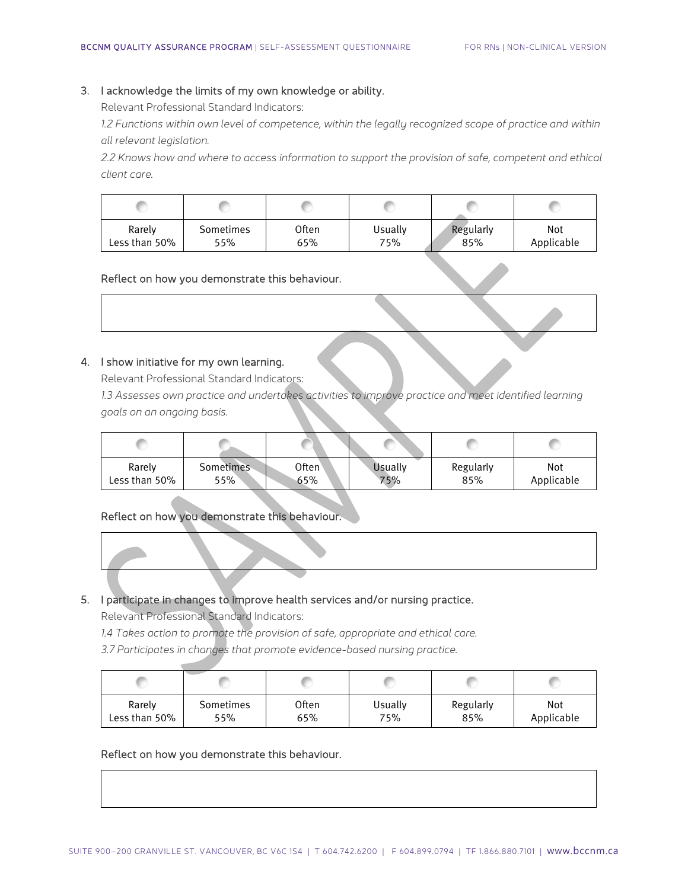#### 3. I acknowledge the limits of my own knowledge or ability.

Relevant Professional Standard Indicators:

*1.2 Functions within own level of competence, within the legally recognized scope of practice and within all relevant legislation.*

*2.2 Knows how and where to access information to support the provision of safe, competent and ethical client care.*

| Rarely        | Sometimes | Often | Usually | Regularly | Not        |
|---------------|-----------|-------|---------|-----------|------------|
| Less than 50% | 55%       | 65%   | 75%     | 85%       | Applicable |

#### Reflect on how you demonstrate this behaviour.

#### 4. I show initiative for my own learning.

Relevant Professional Standard Indicators:

*1.3 Assesses own practice and undertakes activities to improve practice and meet identified learning goals on an ongoing basis.*

| Rarely        | Sometimes | Often` | <b>Usually</b> | Regularly | Not        |
|---------------|-----------|--------|----------------|-----------|------------|
| Less than 50% | 55%       | 65%    | 75%            | 85%       | Applicable |

# Reflect on how you demonstrate this behaviour.

# 5. I participate in changes to improve health services and/or nursing practice.

Relevant Professional Standard Indicators:

*1.4 Takes action to promote the provision of safe, appropriate and ethical care.*

*3.7 Participates in changes that promote evidence-based nursing practice.*

| Rarely        | Sometimes | Often | Usually | Regularly | Not        |
|---------------|-----------|-------|---------|-----------|------------|
| Less than 50% | 55%       | 65%   | 75%     | 85%       | Applicable |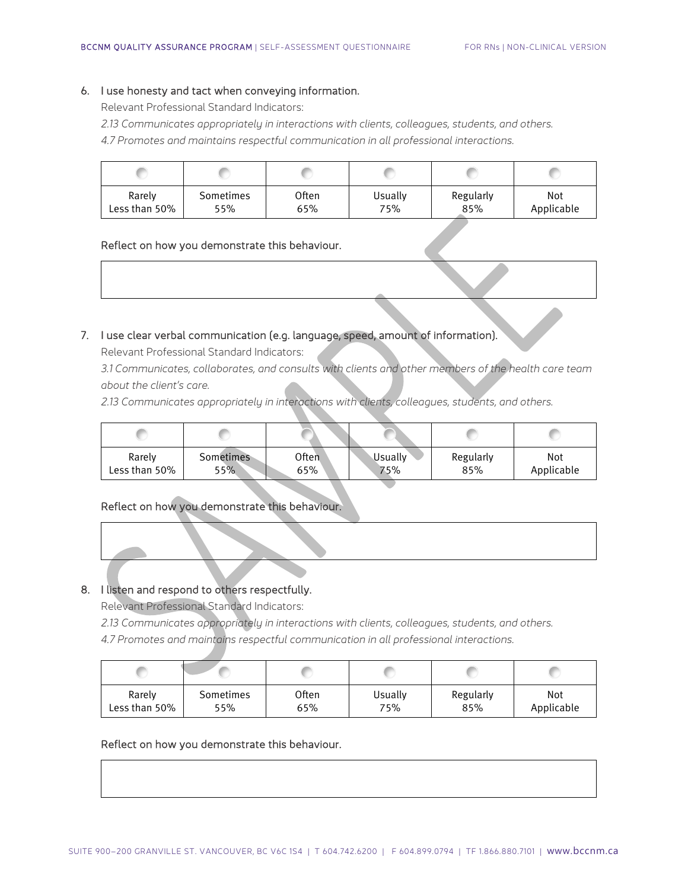#### 6. I use honesty and tact when conveying information.

Relevant Professional Standard Indicators:

- *2.13 Communicates appropriately in interactions with clients, colleagues, students, and others.*
- *4.7 Promotes and maintains respectful communication in all professional interactions.*

| Rarely        | Sometimes | Often | Usually | Regularly | Not        |
|---------------|-----------|-------|---------|-----------|------------|
| Less than 50% | 55%       | 65%   | 75%     | 85%       | Applicable |

#### Reflect on how you demonstrate this behaviour.

# 7. I use clear verbal communication (e.g. language, speed, amount of information).

Relevant Professional Standard Indicators:

*3.1 Communicates, collaborates, and consults with clients and other members of the health care team about the client's care.*

*2.13 Communicates appropriately in interactions with clients, colleagues, students, and others.*

| Rarely        | Sometimes | Often | <b>Usually</b> | Regularly | Not        |
|---------------|-----------|-------|----------------|-----------|------------|
| Less than 50% | 55%       | 65%   | 75%            | 85%       | Applicable |

# Reflect on how you demonstrate this behaviour.

#### 8. I listen and respond to others respectfully.

Relevant Professional Standard Indicators:

*2.13 Communicates appropriately in interactions with clients, colleagues, students, and others. 4.7 Promotes and maintains respectful communication in all professional interactions.*

| Rarely        | Sometimes | Often | Usually | Regularly | Not        |
|---------------|-----------|-------|---------|-----------|------------|
| Less than 50% | 55%       | 65%   | 75%     | 85%       | Applicable |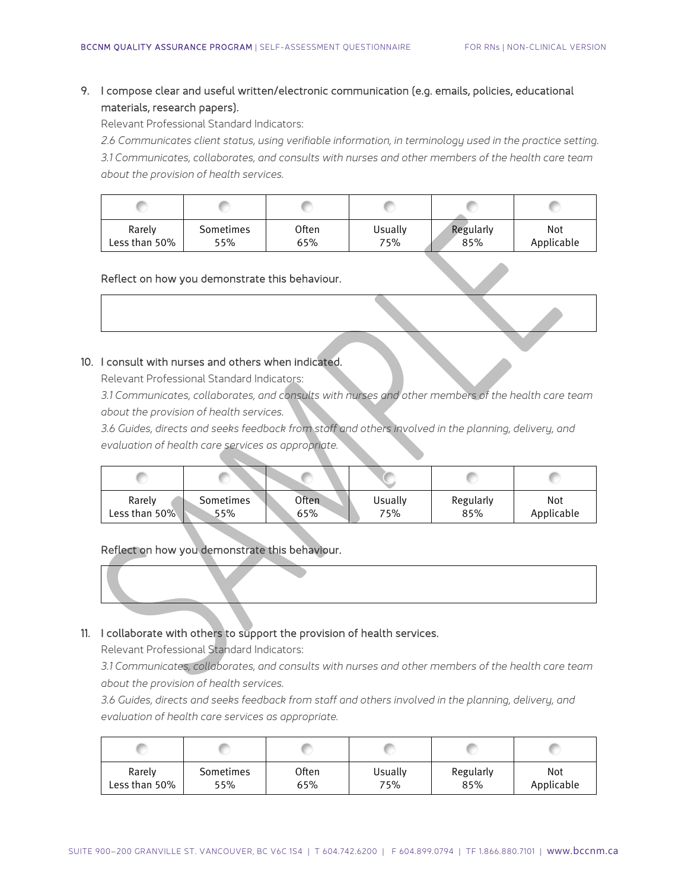# 9. I compose clear and useful written/electronic communication (e.g. emails, policies, educational materials, research papers).

Relevant Professional Standard Indicators:

*2.6 Communicates client status, using verifiable information, in terminology used in the practice setting. 3.1 Communicates, collaborates, and consults with nurses and other members of the health care team about the provision of health services.*

| Rarely        | Sometimes | Often | Usually | Regularly | Not        |
|---------------|-----------|-------|---------|-----------|------------|
| Less than 50% | 55%       | 65%   | 75%     | 85%       | Applicable |

#### Reflect on how you demonstrate this behaviour.

#### 10. I consult with nurses and others when indicated.

Relevant Professional Standard Indicators:

*3.1 Communicates, collaborates, and consults with nurses and other members of the health care team about the provision of health services.*

*3.6 Guides, directs and seeks feedback from staff and others involved in the planning, delivery, and evaluation of health care services as appropriate.*

| Rarely        | Sometimes | Often | Usually | Regularly | Not        |
|---------------|-----------|-------|---------|-----------|------------|
| Less than 50% | 55%       | 65%   | 75%     | 85%       | Applicable |

#### Reflect on how you demonstrate this behaviour.

# 11. I collaborate with others to support the provision of health services.

Relevant Professional Standard Indicators:

*3.1 Communicates, collaborates, and consults with nurses and other members of the health care team about the provision of health services.*

*3.6 Guides, directs and seeks feedback from staff and others involved in the planning, delivery, and evaluation of health care services as appropriate.*

| Rarely        | Sometimes | Often | Usually | Regularly | Not        |
|---------------|-----------|-------|---------|-----------|------------|
| Less than 50% | 55%       | 65%   | 75%     | 85%       | Applicable |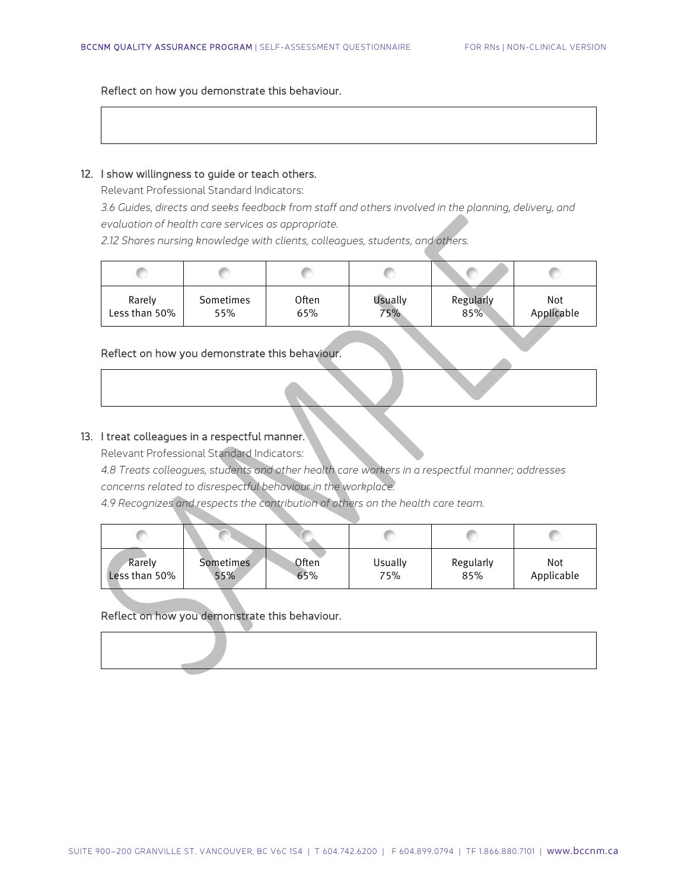Reflect on how you demonstrate this behaviour.

#### 12. I show willingness to guide or teach others.

Relevant Professional Standard Indicators:

*3.6 Guides, directs and seeks feedback from staff and others involved in the planning, delivery, and evaluation of health care services as appropriate.*

*2.12 Shares nursing knowledge with clients, colleagues, students, and others.*

| Rarely        | Sometimes | <b>Often</b> | <b>Usually</b> | Regularly | Not        |
|---------------|-----------|--------------|----------------|-----------|------------|
| Less than 50% | 55%       | 65%          | 75%            | 85%       | Applicable |

#### Reflect on how you demonstrate this behaviour.

| 13. I treat colleagues in a respectful manner. |  |  |  |  |  |  |
|------------------------------------------------|--|--|--|--|--|--|
|------------------------------------------------|--|--|--|--|--|--|

Relevant Professional Standard Indicators:

*4.8 Treats colleagues, students and other health care workers in a respectful manner; addresses concerns related to disrespectful behaviour in the workplace.*

*4.9 Recognizes and respects the contribution of others on the health care team.*

| Rarely        | <b>Sometimes</b> | Often | Usually | Regularly | Not        |
|---------------|------------------|-------|---------|-----------|------------|
| Less than 50% | 55%              | 65%   | 75%     | 85%       | Applicable |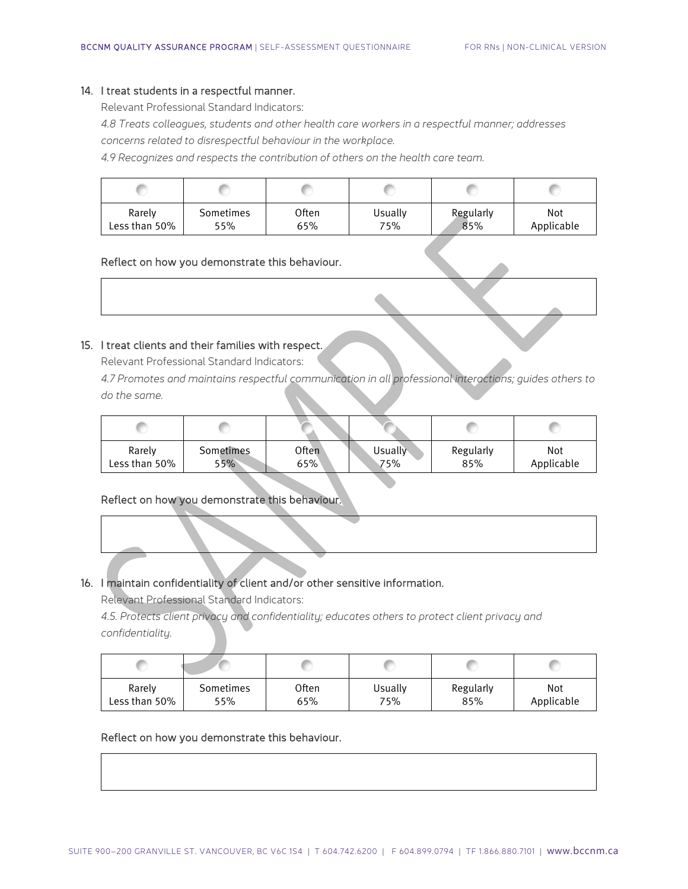#### 14. I treat students in a respectful manner.

Relevant Professional Standard Indicators:

*4.8 Treats colleagues, students and other health care workers in a respectful manner; addresses concerns related to disrespectful behaviour in the workplace.*

*4.9 Recognizes and respects the contribution of others on the health care team.*

| Rarely        | Sometimes | Often | Usually | Regularly | Not        |
|---------------|-----------|-------|---------|-----------|------------|
| Less than 50% | 55%       | 65%   | 75%     | 85%       | Applicable |

#### Reflect on how you demonstrate this behaviour.

#### 15. I treat clients and their families with respect.

Relevant Professional Standard Indicators:

*4.7 Promotes and maintains respectful communication in all professional interactions; guides others to do the same.*

| Rarely        | Sometimes | Often | Usually | Regularly | Not        |
|---------------|-----------|-------|---------|-----------|------------|
| Less than 50% | 55%       | 65%`  | 75%     | 85%       | Applicable |

### Reflect on how you demonstrate this behaviour.

# 16. I maintain confidentiality of client and/or other sensitive information.

Relevant Professional Standard Indicators:

*4.5. Protects client privacy and confidentiality; educates others to protect client privacy and confidentiality.*

| Rarely        | Sometimes | Often | Usually | Regularly | Not        |
|---------------|-----------|-------|---------|-----------|------------|
| Less than 50% | 55%       | 65%   | 75%     | 85%       | Applicable |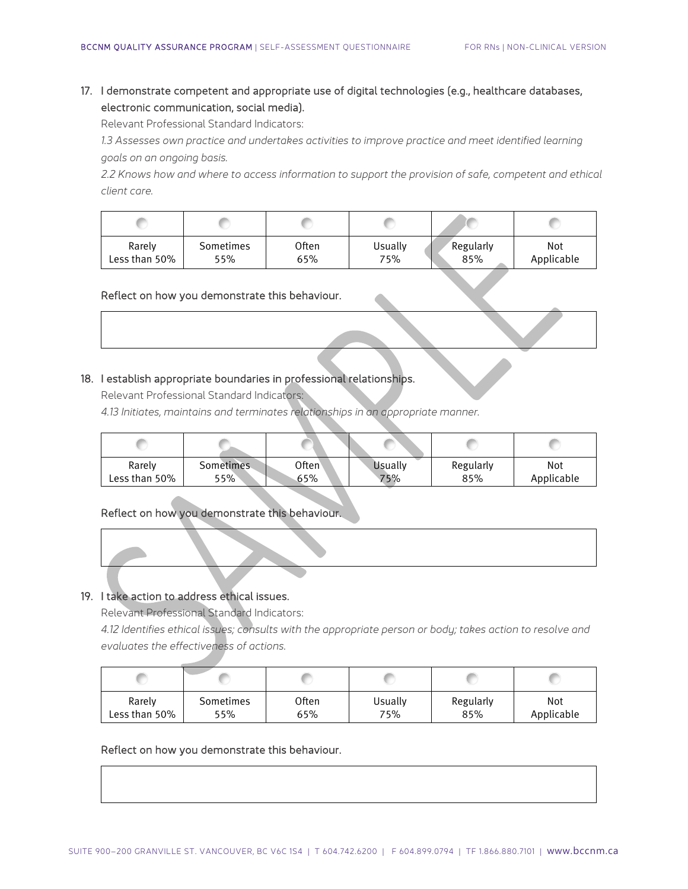# 17. I demonstrate competent and appropriate use of digital technologies (e.g., healthcare databases, electronic communication, social media).

Relevant Professional Standard Indicators:

1.3 Assesses own practice and undertakes activities to improve practice and meet identified learning *goals on an ongoing basis.*

*2.2 Knows how and where to access information to support the provision of safe, competent and ethical client care.*

| Rarely        | Sometimes | Often | Usually | Regularly | Not        |
|---------------|-----------|-------|---------|-----------|------------|
| Less than 50% | 55%       | 65%   | 75%     | 85%       | Applicable |

#### Reflect on how you demonstrate this behaviour.

#### 18. I establish appropriate boundaries in professional relationships.

Relevant Professional Standard Indicators:

*4.13 Initiates, maintains and terminates relationships in an appropriate manner.*

| Rarely        | Sometimes | $O$ ften $^{\backprime}$ | <b>Usually</b> | Regularly | Not        |
|---------------|-----------|--------------------------|----------------|-----------|------------|
| Less than 50% | $55\%$    | 65%                      | 75%            | 85%       | Applicable |

#### Reflect on how you demonstrate this behaviour.

# 19. I take action to address ethical issues.

Relevant Professional Standard Indicators:

*4.12 Identifies ethical issues; consults with the appropriate person or body; takes action to resolve and evaluates the effectiveness of actions.*

| Rarely        | Sometimes | Often | Usually | Regularly | Not        |
|---------------|-----------|-------|---------|-----------|------------|
| Less than 50% | 55%       | 65%   | 75%     | 85%       | Applicable |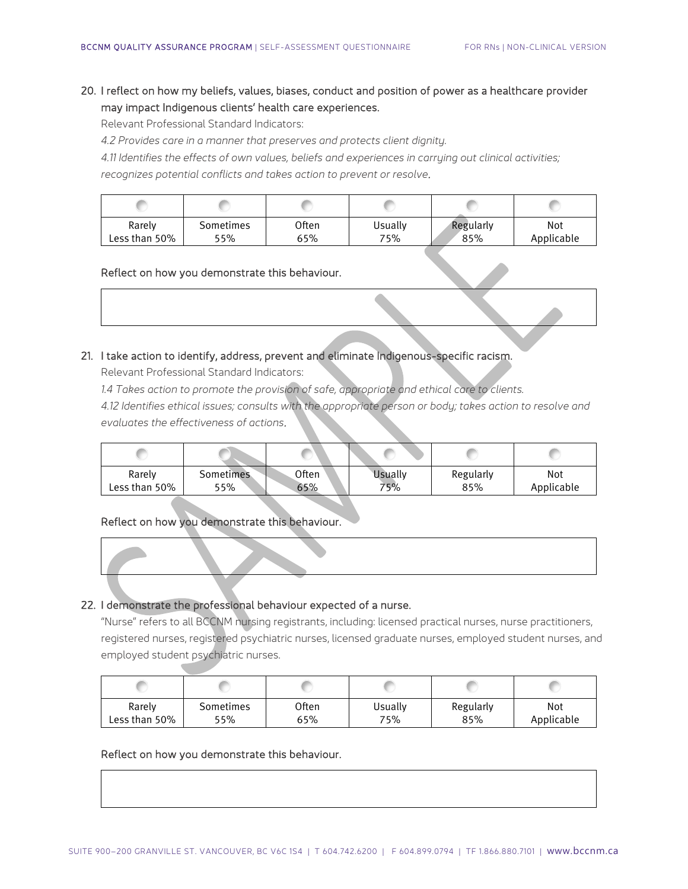20. I reflect on how my beliefs, values, biases, conduct and position of power as a healthcare provider may impact Indigenous clients' health care experiences.

Relevant Professional Standard Indicators:

*4.2 Provides care in a manner that preserves and protects client dignity.*

*4.11 Identifies the effects of own values, beliefs and experiences in carrying out clinical activities; recognizes potential conflicts and takes action to prevent or resolve*.

| Rarely        | Sometimes | Often | Usually | Regularly | Not        |
|---------------|-----------|-------|---------|-----------|------------|
| Less than 50% | 55%       | 65%   | 75%     | 85%       | Applicable |

#### Reflect on how you demonstrate this behaviour.

21. I take action to identify, address, prevent and eliminate Indigenous-specific racism.

Relevant Professional Standard Indicators:

*1.4 Takes action to promote the provision of safe, appropriate and ethical care to clients.*

*4.12 Identifies ethical issues; consults with the appropriate person or body; takes action to resolve and evaluates the effectiveness of actions*.

| Rarely<br>Less than 50% | Sometimes<br>55% | Often<br>65% | Usuallv<br>75% | Regularly<br>85% | Not<br>Applicable |
|-------------------------|------------------|--------------|----------------|------------------|-------------------|
|                         |                  |              |                |                  |                   |

# Reflect on how you demonstrate this behaviour.

#### 22. I demonstrate the professional behaviour expected of a nurse.

"Nurse" refers to all BCCNM nursing registrants, including: licensed practical nurses, nurse practitioners, registered nurses, registered psychiatric nurses, licensed graduate nurses, employed student nurses, and employed student psychiatric nurses.

| Rarely        | Sometimes | Often | Usually | Regularly | Not        |
|---------------|-----------|-------|---------|-----------|------------|
| Less than 50% | 55%       | 65%   | 75%     | 85%       | Applicable |